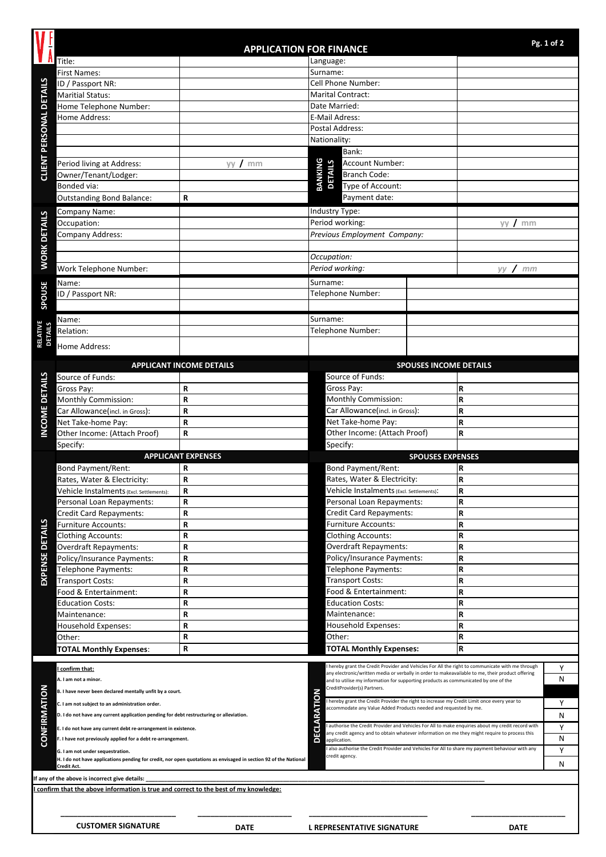|                                |                                                                                                                                 |                                 |                                                                                                                                          |                                                                                |                               |                                                                                                  | Pg. 1 of 2 |
|--------------------------------|---------------------------------------------------------------------------------------------------------------------------------|---------------------------------|------------------------------------------------------------------------------------------------------------------------------------------|--------------------------------------------------------------------------------|-------------------------------|--------------------------------------------------------------------------------------------------|------------|
|                                | <b>APPLICATION FOR FINANCE</b><br>Title:<br>Language:                                                                           |                                 |                                                                                                                                          |                                                                                |                               |                                                                                                  |            |
|                                | <b>First Names:</b>                                                                                                             |                                 | Surname:                                                                                                                                 |                                                                                |                               |                                                                                                  |            |
|                                | ID / Passport NR:                                                                                                               |                                 | Cell Phone Number:                                                                                                                       |                                                                                |                               |                                                                                                  |            |
|                                | <b>Maritial Status:</b>                                                                                                         |                                 | <b>Marital Contract:</b>                                                                                                                 |                                                                                |                               |                                                                                                  |            |
|                                | Home Telephone Number:                                                                                                          |                                 | Date Married:                                                                                                                            |                                                                                |                               |                                                                                                  |            |
|                                | Home Address:                                                                                                                   |                                 | E-Mail Adress:                                                                                                                           |                                                                                |                               |                                                                                                  |            |
| <b>CLIENT PERSONAL DETAILS</b> |                                                                                                                                 |                                 | Postal Address:                                                                                                                          |                                                                                |                               |                                                                                                  |            |
|                                |                                                                                                                                 |                                 | Nationality:                                                                                                                             |                                                                                |                               |                                                                                                  |            |
|                                |                                                                                                                                 |                                 | Bank:<br>Account Number:                                                                                                                 |                                                                                |                               |                                                                                                  |            |
|                                | Period living at Address:<br>Owner/Tenant/Lodger:                                                                               | yy /<br>mm                      |                                                                                                                                          | BANKING<br><b>DETAILS</b><br>Branch Code:<br>Type of Account:<br>Payment date: |                               |                                                                                                  |            |
|                                | Bonded via:                                                                                                                     |                                 |                                                                                                                                          |                                                                                |                               |                                                                                                  |            |
|                                | <b>Outstanding Bond Balance:</b>                                                                                                | R                               |                                                                                                                                          |                                                                                |                               |                                                                                                  |            |
| <b>WORK DETAILS</b>            | Company Name:                                                                                                                   |                                 | Industry Type:                                                                                                                           |                                                                                |                               |                                                                                                  |            |
|                                | Occupation:                                                                                                                     |                                 | Period working:                                                                                                                          |                                                                                | mm<br>yy                      |                                                                                                  |            |
|                                | <b>Company Address:</b>                                                                                                         |                                 | Previous Employment Company:                                                                                                             |                                                                                |                               |                                                                                                  |            |
|                                |                                                                                                                                 |                                 |                                                                                                                                          |                                                                                |                               |                                                                                                  |            |
|                                |                                                                                                                                 |                                 | Occupation:                                                                                                                              |                                                                                |                               |                                                                                                  |            |
|                                | Work Telephone Number:                                                                                                          |                                 | Period working:                                                                                                                          |                                                                                |                               | yy / mm                                                                                          |            |
|                                | Name:                                                                                                                           |                                 | Surname:                                                                                                                                 |                                                                                |                               |                                                                                                  |            |
| SPOUSE                         | ID / Passport NR:                                                                                                               |                                 |                                                                                                                                          | Telephone Number:                                                              |                               |                                                                                                  |            |
|                                |                                                                                                                                 |                                 |                                                                                                                                          |                                                                                |                               |                                                                                                  |            |
|                                | Name:                                                                                                                           |                                 | Surname:                                                                                                                                 |                                                                                |                               |                                                                                                  |            |
| <b>RELATIVE</b><br>DETAILS     | Relation:                                                                                                                       |                                 |                                                                                                                                          | Telephone Number:                                                              |                               |                                                                                                  |            |
|                                | Home Address:                                                                                                                   |                                 |                                                                                                                                          |                                                                                |                               |                                                                                                  |            |
|                                |                                                                                                                                 |                                 |                                                                                                                                          |                                                                                |                               |                                                                                                  |            |
|                                | Source of Funds:                                                                                                                | <b>APPLICANT INCOME DETAILS</b> |                                                                                                                                          | Source of Funds:                                                               | <b>SPOUSES INCOME DETAILS</b> |                                                                                                  |            |
|                                | Gross Pay:                                                                                                                      | R                               |                                                                                                                                          | Gross Pay:                                                                     |                               | R                                                                                                |            |
|                                | Monthly Commission:                                                                                                             | $\mathsf R$                     |                                                                                                                                          | Monthly Commission:                                                            |                               | R                                                                                                |            |
|                                | Car Allowance(incl. in Gross):                                                                                                  | $\mathbf R$                     | Car Allowance(incl. in Gross):                                                                                                           |                                                                                | R                             |                                                                                                  |            |
| INCOME DETAILS                 | Net Take-home Pay:                                                                                                              | $\mathbf R$                     | Net Take-home Pay:                                                                                                                       |                                                                                | R                             |                                                                                                  |            |
|                                | Other Income: (Attach Proof)                                                                                                    | $\mathbf R$                     | Other Income: (Attach Proof)                                                                                                             |                                                                                | R                             |                                                                                                  |            |
|                                | Specify:                                                                                                                        |                                 |                                                                                                                                          | Specify:                                                                       |                               |                                                                                                  |            |
|                                |                                                                                                                                 | <b>APPLICANT EXPENSES</b>       |                                                                                                                                          |                                                                                | <b>SPOUSES EXPENSES</b>       |                                                                                                  |            |
|                                | Bond Payment/Rent:                                                                                                              | R<br>$\mathbf R$                |                                                                                                                                          | Bond Payment/Rent:<br>Rates, Water & Electricity:                              |                               | R<br>l R                                                                                         |            |
|                                | Rates, Water & Electricity:<br>Vehicle Instalments (Excl. Settlements):                                                         | $\mathbf R$                     |                                                                                                                                          | Vehicle Instalments (Excl. Settlements):                                       |                               | R                                                                                                |            |
|                                | Personal Loan Repayments:                                                                                                       | $\mathbf R$                     |                                                                                                                                          | Personal Loan Repayments:                                                      |                               | R                                                                                                |            |
|                                | Credit Card Repayments:                                                                                                         | R                               |                                                                                                                                          | Credit Card Repayments:                                                        |                               | R                                                                                                |            |
|                                | <b>Furniture Accounts:</b>                                                                                                      | R                               |                                                                                                                                          | Furniture Accounts:                                                            |                               | R                                                                                                |            |
|                                | <b>Clothing Accounts:</b>                                                                                                       | $\mathsf{R}$                    |                                                                                                                                          | <b>Clothing Accounts:</b>                                                      |                               | R                                                                                                |            |
|                                | Overdraft Repayments:                                                                                                           | $\mathbf R$                     |                                                                                                                                          | Overdraft Repayments:                                                          |                               | R                                                                                                |            |
|                                | Policy/Insurance Payments:                                                                                                      | $\mathbf R$                     | Policy/Insurance Payments:                                                                                                               |                                                                                | R                             |                                                                                                  |            |
| <b>EXPENSE DETAILS</b>         | Telephone Payments:                                                                                                             | R<br>R                          |                                                                                                                                          | Telephone Payments:                                                            |                               | R<br>R                                                                                           |            |
|                                | <b>Transport Costs:</b><br>Food & Entertainment:                                                                                | R                               | Transport Costs:<br>Food & Entertainment:                                                                                                |                                                                                | R                             |                                                                                                  |            |
|                                | <b>Education Costs:</b>                                                                                                         | R                               | <b>Education Costs:</b>                                                                                                                  |                                                                                | R                             |                                                                                                  |            |
|                                | Maintenance:                                                                                                                    | $\mathbf R$                     | Maintenance:                                                                                                                             |                                                                                | R                             |                                                                                                  |            |
|                                | Household Expenses:                                                                                                             | R                               | Household Expenses:                                                                                                                      |                                                                                | R                             |                                                                                                  |            |
|                                | Other:                                                                                                                          | $\mathbf R$                     | Other:                                                                                                                                   |                                                                                |                               | R                                                                                                |            |
|                                | <b>TOTAL Monthly Expenses:</b>                                                                                                  | R                               |                                                                                                                                          | <b>TOTAL Monthly Expenses:</b>                                                 |                               | R                                                                                                |            |
|                                |                                                                                                                                 |                                 |                                                                                                                                          |                                                                                |                               | hereby grant the Credit Provider and Vehicles For All the right to communicate with me through   | Υ          |
|                                | I confirm that:<br>A. I am not a minor.                                                                                         |                                 |                                                                                                                                          |                                                                                |                               | any electronic/written media or verbally in order to makeavailable to me, their product offering | N          |
|                                | B. I have never been declared mentally unfit by a court.                                                                        |                                 | and to utilise my information for supporting products as communicated by one of the<br>CreditProvider(s) Partners.                       |                                                                                |                               |                                                                                                  |            |
|                                | C. I am not subject to an administration order.                                                                                 |                                 | I hereby grant the Credit Provider the right to increase my Credit Limit once every year to                                              |                                                                                |                               |                                                                                                  | Υ          |
|                                | D. I do not have any current application pending for debt restructuring or alleviation.                                         |                                 | accommodate any Value Added Products needed and requested by me.                                                                         |                                                                                |                               |                                                                                                  | Ν          |
|                                | E. I do not have any current debt re-arrangement in existence.                                                                  |                                 | ECLARATION<br>authorise the Credit Provider and Vehicles For All to make enquiries about my credit record with                           |                                                                                |                               |                                                                                                  | Υ          |
| <b>CONFIRMATION</b>            | F. I have not previously applied for a debt re-arrangement.                                                                     |                                 | any credit agency and to obtain whatever information on me they might require to process this<br>$\overline{\mathbf{C}}$<br>application. |                                                                                |                               |                                                                                                  | N          |
|                                | G. I am not under sequestration.                                                                                                |                                 | also authorise the Credit Provider and Vehicles For All to share my payment behaviour with any<br>credit agency.                         |                                                                                |                               |                                                                                                  | Υ          |
|                                | H. I do not have applications pending for credit, nor open quotations as envisaged in section 92 of the National<br>Credit Act. |                                 |                                                                                                                                          |                                                                                |                               |                                                                                                  | Ν          |
|                                | If any of the above is incorrect give details:                                                                                  |                                 |                                                                                                                                          |                                                                                |                               |                                                                                                  |            |
|                                | I confirm that the above information is true and correct to the best of my knowledge:                                           |                                 |                                                                                                                                          |                                                                                |                               |                                                                                                  |            |
|                                |                                                                                                                                 |                                 |                                                                                                                                          |                                                                                |                               |                                                                                                  |            |
|                                |                                                                                                                                 |                                 |                                                                                                                                          |                                                                                |                               |                                                                                                  |            |
|                                | <b>CUSTOMER SIGNATURE</b>                                                                                                       | <b>DATE</b>                     |                                                                                                                                          | <b>L REPRESENTATIVE SIGNATURE</b>                                              |                               | <b>DATE</b>                                                                                      |            |